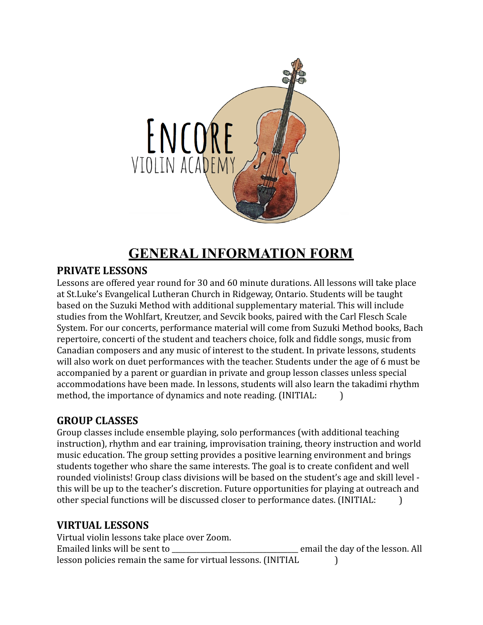

# **GENERAL INFORMATION FORM**

#### **PRIVATE LESSONS**

Lessons are offered year round for 30 and 60 minute durations. All lessons will take place at St.Luke's Evangelical Lutheran Church in Ridgeway, Ontario. Students will be taught based on the Suzuki Method with additional supplementary material. This will include studies from the Wohlfart, Kreutzer, and Sevcik books, paired with the Carl Flesch Scale System. For our concerts, performance material will come from Suzuki Method books, Bach repertoire, concerti of the student and teachers choice, folk and fiddle songs, music from Canadian composers and any music of interest to the student. In private lessons, students will also work on duet performances with the teacher. Students under the age of 6 must be accompanied by a parent or guardian in private and group lesson classes unless special accommodations have been made. In lessons, students will also learn the takadimi rhythm method, the importance of dynamics and note reading. (INITIAL: )

### **GROUP CLASSES**

Group classes include ensemble playing, solo performances (with additional teaching instruction), rhythm and ear training, improvisation training, theory instruction and world music education. The group setting provides a positive learning environment and brings students together who share the same interests. The goal is to create confident and well rounded violinists! Group class divisions will be based on the student's age and skill level this will be up to the teacher's discretion. Future opportunities for playing at outreach and other special functions will be discussed closer to performance dates. (INITIAL: )

#### **VIRTUAL LESSONS**

Virtual violin lessons take place over Zoom. Emailed links will be sent to **Email the day of the lesson.** All lesson policies remain the same for virtual lessons. (INITIAL )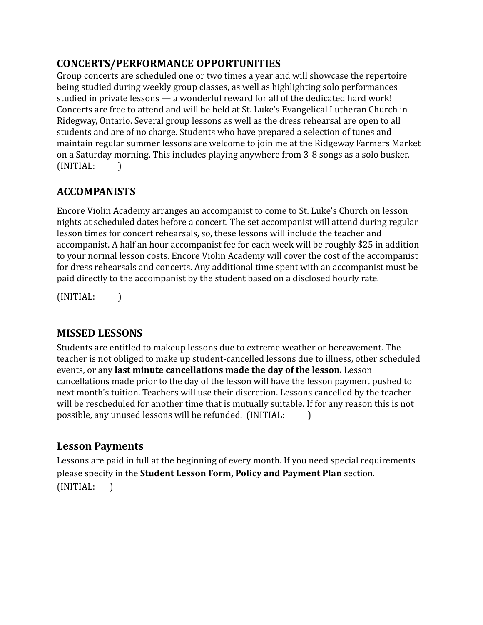### **CONCERTS/PERFORMANCE OPPORTUNITIES**

Group concerts are scheduled one or two times a year and will showcase the repertoire being studied during weekly group classes, as well as highlighting solo performances studied in private lessons — a wonderful reward for all of the dedicated hard work! Concerts are free to attend and will be held at St. Luke's Evangelical Lutheran Church in Ridegway, Ontario. Several group lessons as well as the dress rehearsal are open to all students and are of no charge. Students who have prepared a selection of tunes and maintain regular summer lessons are welcome to join me at the Ridgeway Farmers Market on a Saturday morning. This includes playing anywhere from 3-8 songs as a solo busker. (INITIAL: )

## **ACCOMPANISTS**

Encore Violin Academy arranges an accompanist to come to St. Luke's Church on lesson nights at scheduled dates before a concert. The set accompanist will attend during regular lesson times for concert rehearsals, so, these lessons will include the teacher and accompanist. A half an hour accompanist fee for each week will be roughly \$25 in addition to your normal lesson costs. Encore Violin Academy will cover the cost of the accompanist for dress rehearsals and concerts. Any additional time spent with an accompanist must be paid directly to the accompanist by the student based on a disclosed hourly rate.

(INITIAL: )

## **MISSED LESSONS**

Students are entitled to makeup lessons due to extreme weather or bereavement. The teacher is not obliged to make up student-cancelled lessons due to illness, other scheduled events, or any **last minute cancellations made the day of the lesson.** Lesson cancellations made prior to the day of the lesson will have the lesson payment pushed to next month's tuition. Teachers will use their discretion. Lessons cancelled by the teacher will be rescheduled for another time that is mutually suitable. If for any reason this is not possible, any unused lessons will be refunded. (INITIAL: )

## **Lesson Payments**

Lessons are paid in full at the beginning of every month. If you need special requirements please specify in the **Student Lesson Form, Policy and Payment Plan** section. (INITIAL: )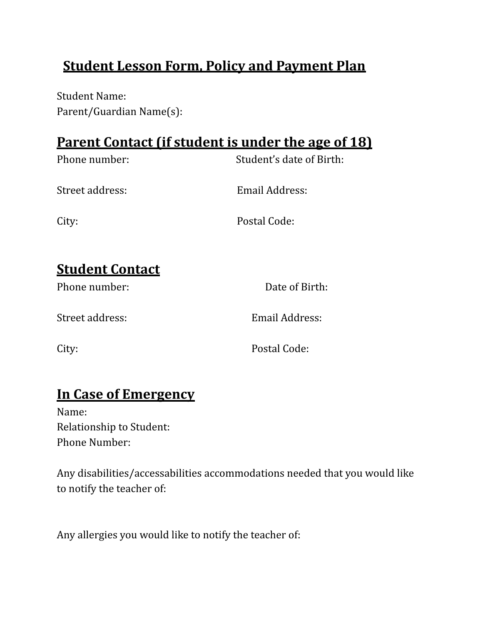# **Student Lesson Form, Policy and Payment Plan**

Student Name: Parent/Guardian Name(s):

## **Parent Contact (if student is under the age of 18)**

| Phone number:                 | Student's date of Birth: |
|-------------------------------|--------------------------|
| Street address:               | Email Address:           |
| City:                         | Postal Code:             |
| <u><b>Student Contact</b></u> |                          |
| Phone number:                 | Date of Birth:           |

Street address: Email Address:

City: Postal Code:

## **In Case of Emergency**

Name: Relationship to Student: Phone Number:

Any disabilities/accessabilities accommodations needed that you would like to notify the teacher of:

Any allergies you would like to notify the teacher of: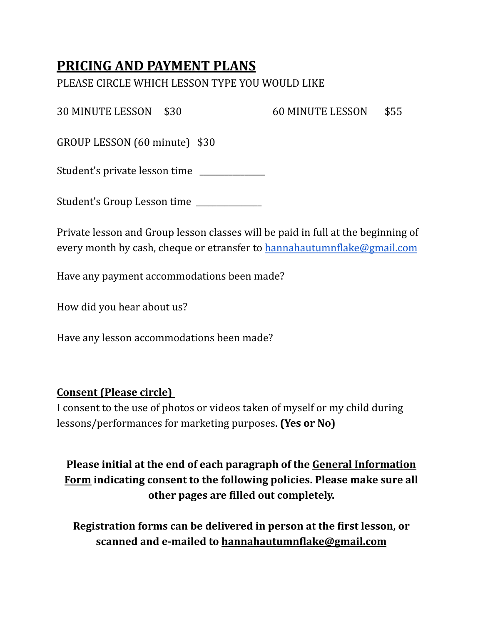## **PRICING AND PAYMENT PLANS**

PLEASE CIRCLE WHICH LESSON TYPE YOU WOULD LIKE

30 MINUTE LESSON \$30 60 MINUTE LESSON \$55

GROUP LESSON (60 minute) \$30

Student's private lesson time

Student's Group Lesson time

Private lesson and Group lesson classes will be paid in full at the beginning of every month by cash, cheque or etransfer to [hannahautumnflake@gmail.com](mailto:hannahautumnflake@gmail.com)

Have any payment accommodations been made?

How did you hear about us?

Have any lesson accommodations been made?

## **Consent (Please circle)**

I consent to the use of photos or videos taken of myself or my child during lessons/performances for marketing purposes. **(Yes or No)**

## **Please initial at the end of each paragraph of the General Information Form indicating consent to the following policies. Please make sure all other pages are filled out completely.**

**Registration forms can be delivered in person at the first lesson, or scanned and e-mailed to [hannahautumnflake@gmail.com](mailto:hannahautumnflake@gmail.com)**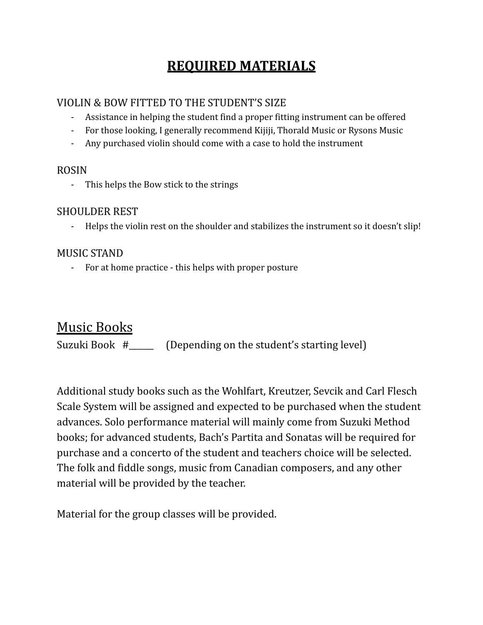# **REQUIRED MATERIALS**

#### VIOLIN & BOW FITTED TO THE STUDENT'S SIZE

- Assistance in helping the student find a proper fitting instrument can be offered
- For those looking, I generally recommend Kijiji, Thorald Music or Rysons Music
- Any purchased violin should come with a case to hold the instrument

#### ROSIN

- This helps the Bow stick to the strings

#### SHOULDER REST

- Helps the violin rest on the shoulder and stabilizes the instrument so it doesn't slip!

### MUSIC STAND

- For at home practice - this helps with proper posture

## Music Books

Suzuki Book #\_\_\_\_\_\_ (Depending on the student's starting level)

Additional study books such as the Wohlfart, Kreutzer, Sevcik and Carl Flesch Scale System will be assigned and expected to be purchased when the student advances. Solo performance material will mainly come from Suzuki Method books; for advanced students, Bach's Partita and Sonatas will be required for purchase and a concerto of the student and teachers choice will be selected. The folk and fiddle songs, music from Canadian composers, and any other material will be provided by the teacher.

Material for the group classes will be provided.